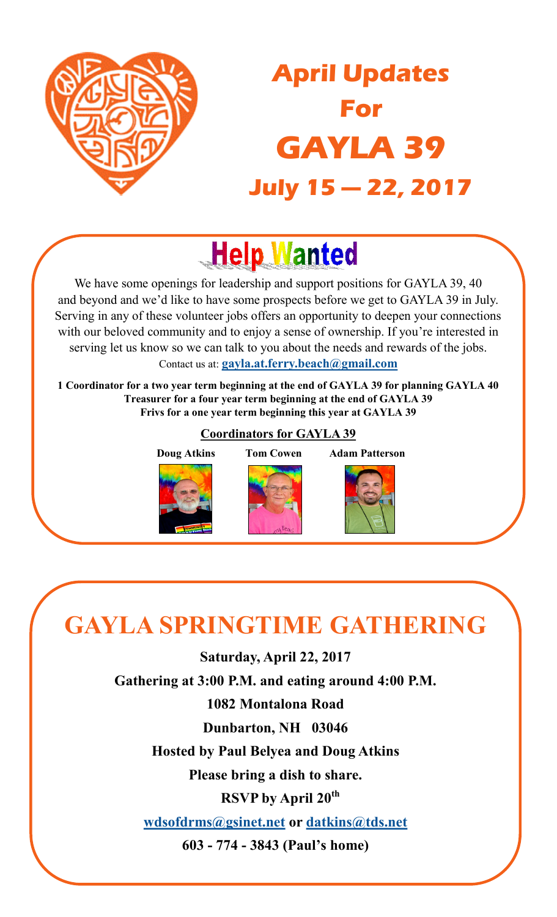<span id="page-0-0"></span>

## **April Updates For GAYLA 39 July 15 — 22, 2017**

# **Help Wanted**

We have some openings for leadership and support positions for GAYLA 39, 40 and beyond and we'd like to have some prospects before we get to GAYLA 39 in July. Serving in any of these volunteer jobs offers an opportunity to deepen your connections with our beloved community and to enjoy a sense of ownership. If you're interested in serving let us know so we can talk to you about the needs and rewards of the jobs. Contact us at: **[gayla.at.ferry.beach@gmail.com](mailto:gayla.at.ferry.beach@gmail.com)**

**1 Coordinator for a two year term beginning at the end of GAYLA 39 for planning GAYLA 40 Treasurer for a four year term beginning at the end of GAYLA 39 Frivs for a one year term beginning this year at GAYLA 39**

#### **Coordinators for GAYLA 39**

 **Doug Atkins Tom Cowen Adam Patterson**



### **GAYLA SPRINGTIME GATHERING**

**Saturday, April 22, 2017**

**Gathering at 3:00 P.M. and eating around 4:00 P.M.**

**1082 Montalona Road**

**Dunbarton, NH 03046**

**Hosted by Paul Belyea and Doug Atkins**

**Please bring a dish to share.**

 **RSVP by April 20th**

**[wdsofdrms@gsinet.net](mailto:wdsofdrms@gsinet.net) or [datkins@tds.net](mailto:datkins@tds.net)**

**603 - 774 - 3843 (Paul's home)**